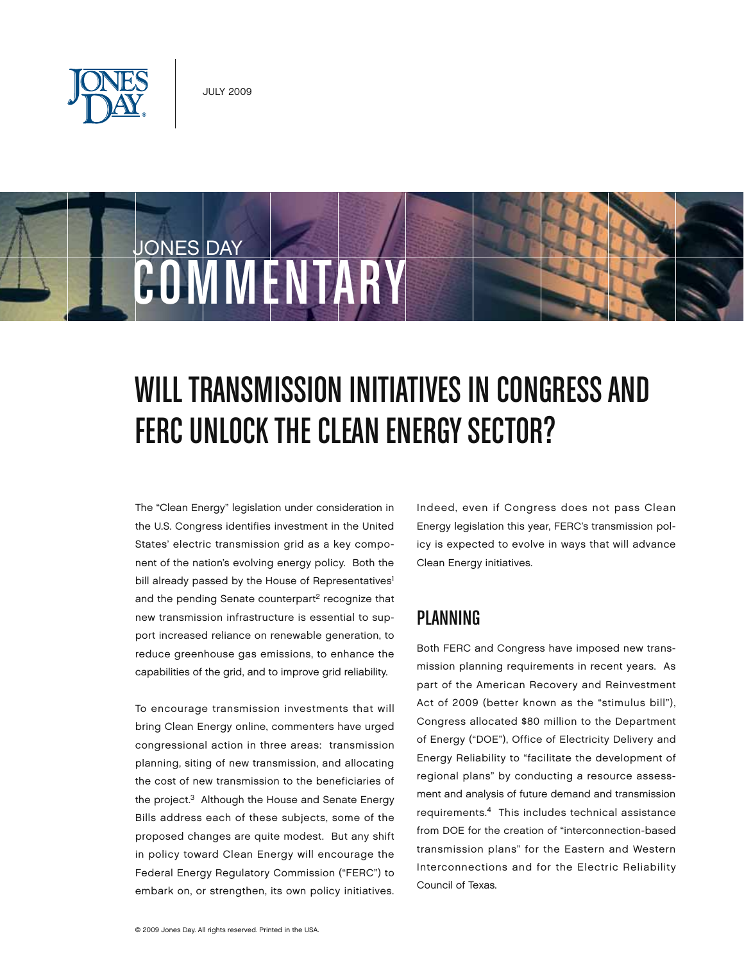

JONES DAY

# COMMENTARY

## WILL TRANSMISSION INITIATIVES IN CONGRESS AND FERC UNLOCK THE CLEAN ENERGY SECTOR?

The "Clean Energy" legislation under consideration in the U.S. Congress identifies investment in the United States' electric transmission grid as a key component of the nation's evolving energy policy. Both the bill already passed by the House of Representatives<sup>1</sup> and the pending Senate counterpart<sup>2</sup> recognize that new transmission infrastructure is essential to support increased reliance on renewable generation, to reduce greenhouse gas emissions, to enhance the capabilities of the grid, and to improve grid reliability.

To encourage transmission investments that will bring Clean Energy online, commenters have urged congressional action in three areas: transmission planning, siting of new transmission, and allocating the cost of new transmission to the beneficiaries of the project.3 Although the House and Senate Energy Bills address each of these subjects, some of the proposed changes are quite modest. But any shift in policy toward Clean Energy will encourage the Federal Energy Regulatory Commission ("FERC") to embark on, or strengthen, its own policy initiatives. Indeed, even if Congress does not pass Clean Energy legislation this year, FERC's transmission policy is expected to evolve in ways that will advance Clean Energy initiatives.

#### Planning

Both FERC and Congress have imposed new transmission planning requirements in recent years. As part of the American Recovery and Reinvestment Act of 2009 (better known as the "stimulus bill"), Congress allocated \$80 million to the Department of Energy ("DOE"), Office of Electricity Delivery and Energy Reliability to "facilitate the development of regional plans" by conducting a resource assessment and analysis of future demand and transmission requirements.4 This includes technical assistance from DOE for the creation of "interconnection-based transmission plans" for the Eastern and Western Interconnections and for the Electric Reliability Council of Texas.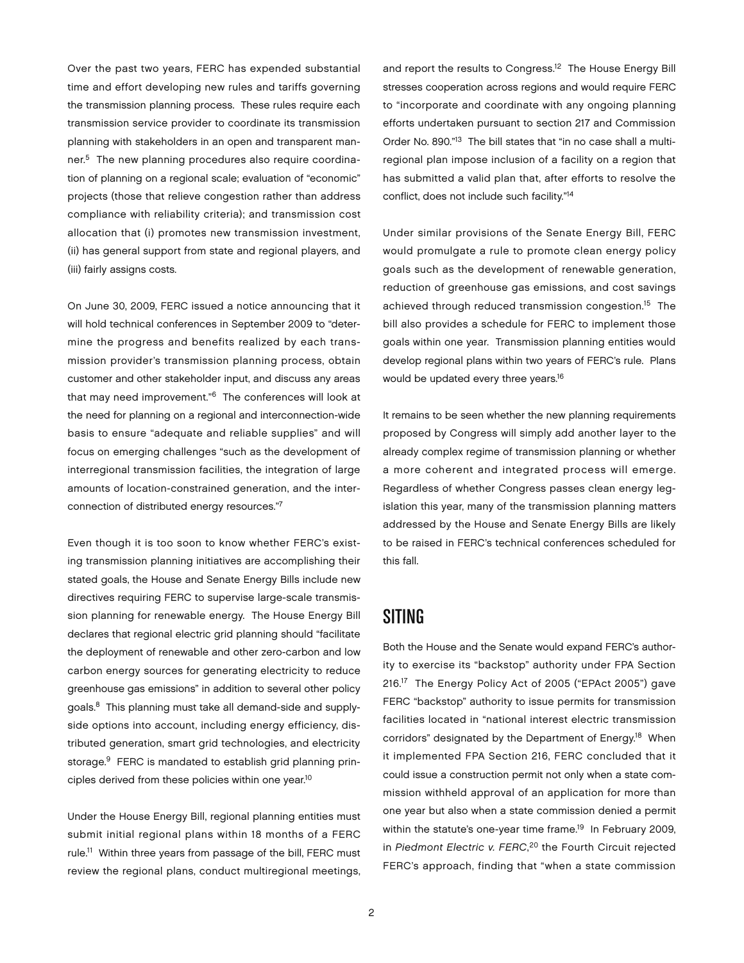Over the past two years, FERC has expended substantial time and effort developing new rules and tariffs governing the transmission planning process. These rules require each transmission service provider to coordinate its transmission planning with stakeholders in an open and transparent manner.5 The new planning procedures also require coordination of planning on a regional scale; evaluation of "economic" projects (those that relieve congestion rather than address compliance with reliability criteria); and transmission cost allocation that (i) promotes new transmission investment, (ii) has general support from state and regional players, and (iii) fairly assigns costs.

On June 30, 2009, FERC issued a notice announcing that it will hold technical conferences in September 2009 to "determine the progress and benefits realized by each transmission provider's transmission planning process, obtain customer and other stakeholder input, and discuss any areas that may need improvement."6 The conferences will look at the need for planning on a regional and interconnection-wide basis to ensure "adequate and reliable supplies" and will focus on emerging challenges "such as the development of interregional transmission facilities, the integration of large amounts of location-constrained generation, and the interconnection of distributed energy resources."7

Even though it is too soon to know whether FERC's existing transmission planning initiatives are accomplishing their stated goals, the House and Senate Energy Bills include new directives requiring FERC to supervise large-scale transmission planning for renewable energy. The House Energy Bill declares that regional electric grid planning should "facilitate the deployment of renewable and other zero-carbon and low carbon energy sources for generating electricity to reduce greenhouse gas emissions" in addition to several other policy goals.8 This planning must take all demand-side and supplyside options into account, including energy efficiency, distributed generation, smart grid technologies, and electricity storage.<sup>9</sup> FERC is mandated to establish grid planning principles derived from these policies within one year.<sup>10</sup>

Under the House Energy Bill, regional planning entities must submit initial regional plans within 18 months of a FERC rule.<sup>11</sup> Within three years from passage of the bill, FERC must review the regional plans, conduct multiregional meetings,

and report the results to Congress.<sup>12</sup> The House Energy Bill stresses cooperation across regions and would require FERC to "incorporate and coordinate with any ongoing planning efforts undertaken pursuant to section 217 and Commission Order No. 890."13 The bill states that "in no case shall a multiregional plan impose inclusion of a facility on a region that has submitted a valid plan that, after efforts to resolve the conflict, does not include such facility."14

Under similar provisions of the Senate Energy Bill, FERC would promulgate a rule to promote clean energy policy goals such as the development of renewable generation, reduction of greenhouse gas emissions, and cost savings achieved through reduced transmission congestion.15 The bill also provides a schedule for FERC to implement those goals within one year. Transmission planning entities would develop regional plans within two years of FERC's rule. Plans would be updated every three years.<sup>16</sup>

It remains to be seen whether the new planning requirements proposed by Congress will simply add another layer to the already complex regime of transmission planning or whether a more coherent and integrated process will emerge. Regardless of whether Congress passes clean energy legislation this year, many of the transmission planning matters addressed by the House and Senate Energy Bills are likely to be raised in FERC's technical conferences scheduled for this fall.

#### **SITING**

Both the House and the Senate would expand FERC's authority to exercise its "backstop" authority under FPA Section 216.17 The Energy Policy Act of 2005 ("EPAct 2005") gave FERC "backstop" authority to issue permits for transmission facilities located in "national interest electric transmission corridors" designated by the Department of Energy.<sup>18</sup> When it implemented FPA Section 216, FERC concluded that it could issue a construction permit not only when a state commission withheld approval of an application for more than one year but also when a state commission denied a permit within the statute's one-year time frame.<sup>19</sup> In February 2009, in Piedmont Electric v. FERC,<sup>20</sup> the Fourth Circuit rejected FERC's approach, finding that "when a state commission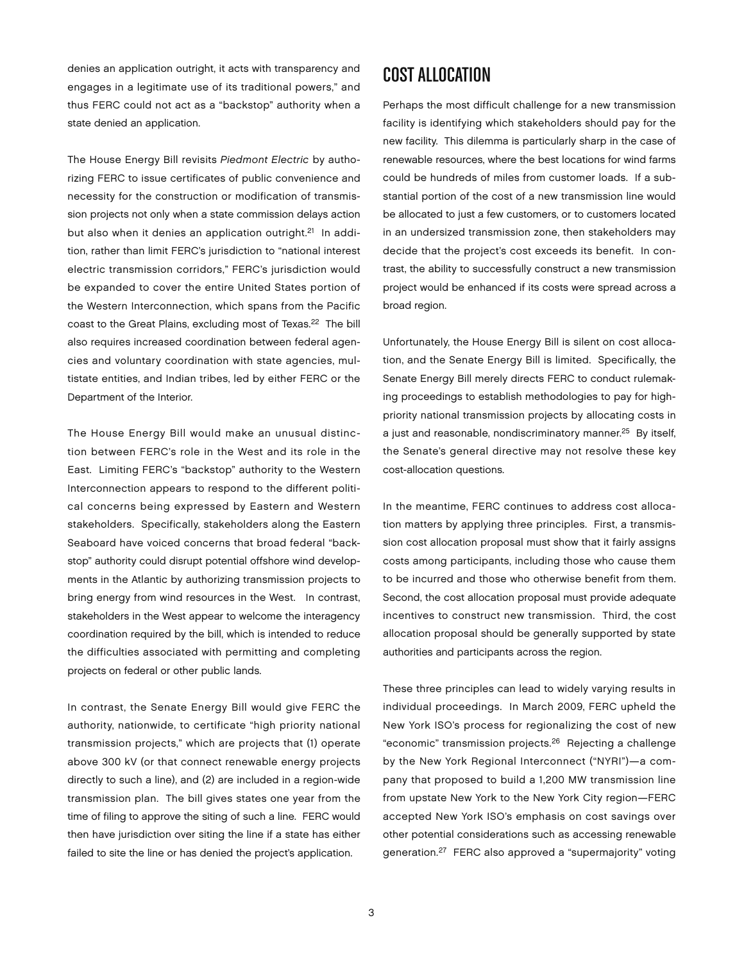denies an application outright, it acts with transparency and engages in a legitimate use of its traditional powers," and thus FERC could not act as a "backstop" authority when a state denied an application.

The House Energy Bill revisits Piedmont Electric by authorizing FERC to issue certificates of public convenience and necessity for the construction or modification of transmission projects not only when a state commission delays action but also when it denies an application outright.<sup>21</sup> In addition, rather than limit FERC's jurisdiction to "national interest electric transmission corridors," FERC's jurisdiction would be expanded to cover the entire United States portion of the Western Interconnection, which spans from the Pacific coast to the Great Plains, excluding most of Texas.<sup>22</sup> The bill also requires increased coordination between federal agencies and voluntary coordination with state agencies, multistate entities, and Indian tribes, led by either FERC or the Department of the Interior.

The House Energy Bill would make an unusual distinction between FERC's role in the West and its role in the East. Limiting FERC's "backstop" authority to the Western Interconnection appears to respond to the different political concerns being expressed by Eastern and Western stakeholders. Specifically, stakeholders along the Eastern Seaboard have voiced concerns that broad federal "backstop" authority could disrupt potential offshore wind developments in the Atlantic by authorizing transmission projects to bring energy from wind resources in the West. In contrast, stakeholders in the West appear to welcome the interagency coordination required by the bill, which is intended to reduce the difficulties associated with permitting and completing projects on federal or other public lands.

In contrast, the Senate Energy Bill would give FERC the authority, nationwide, to certificate "high priority national transmission projects," which are projects that (1) operate above 300 kV (or that connect renewable energy projects directly to such a line), and (2) are included in a region-wide transmission plan. The bill gives states one year from the time of filing to approve the siting of such a line. FERC would then have jurisdiction over siting the line if a state has either failed to site the line or has denied the project's application.

#### Cost Allocation

Perhaps the most difficult challenge for a new transmission facility is identifying which stakeholders should pay for the new facility. This dilemma is particularly sharp in the case of renewable resources, where the best locations for wind farms could be hundreds of miles from customer loads. If a substantial portion of the cost of a new transmission line would be allocated to just a few customers, or to customers located in an undersized transmission zone, then stakeholders may decide that the project's cost exceeds its benefit. In contrast, the ability to successfully construct a new transmission project would be enhanced if its costs were spread across a broad region.

Unfortunately, the House Energy Bill is silent on cost allocation, and the Senate Energy Bill is limited. Specifically, the Senate Energy Bill merely directs FERC to conduct rulemaking proceedings to establish methodologies to pay for highpriority national transmission projects by allocating costs in a just and reasonable, nondiscriminatory manner.25 By itself, the Senate's general directive may not resolve these key cost-allocation questions.

In the meantime, FERC continues to address cost allocation matters by applying three principles. First, a transmission cost allocation proposal must show that it fairly assigns costs among participants, including those who cause them to be incurred and those who otherwise benefit from them. Second, the cost allocation proposal must provide adequate incentives to construct new transmission. Third, the cost allocation proposal should be generally supported by state authorities and participants across the region.

These three principles can lead to widely varying results in individual proceedings. In March 2009, FERC upheld the New York ISO's process for regionalizing the cost of new "economic" transmission projects.26 Rejecting a challenge by the New York Regional Interconnect ("NYRI")—a company that proposed to build a 1,200 MW transmission line from upstate New York to the New York City region—FERC accepted New York ISO's emphasis on cost savings over other potential considerations such as accessing renewable generation.27 FERC also approved a "supermajority" voting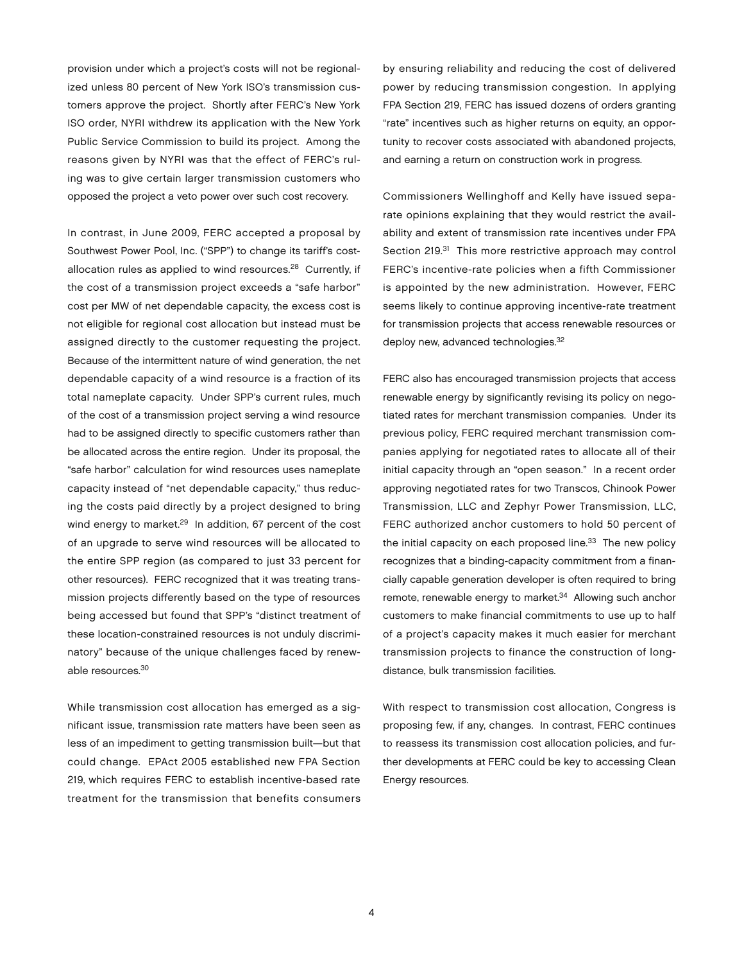provision under which a project's costs will not be regionalized unless 80 percent of New York ISO's transmission customers approve the project. Shortly after FERC's New York ISO order, NYRI withdrew its application with the New York Public Service Commission to build its project. Among the reasons given by NYRI was that the effect of FERC's ruling was to give certain larger transmission customers who opposed the project a veto power over such cost recovery.

In contrast, in June 2009, FERC accepted a proposal by Southwest Power Pool, Inc. ("SPP") to change its tariff's costallocation rules as applied to wind resources.<sup>28</sup> Currently, if the cost of a transmission project exceeds a "safe harbor" cost per MW of net dependable capacity, the excess cost is not eligible for regional cost allocation but instead must be assigned directly to the customer requesting the project. Because of the intermittent nature of wind generation, the net dependable capacity of a wind resource is a fraction of its total nameplate capacity. Under SPP's current rules, much of the cost of a transmission project serving a wind resource had to be assigned directly to specific customers rather than be allocated across the entire region. Under its proposal, the "safe harbor" calculation for wind resources uses nameplate capacity instead of "net dependable capacity," thus reducing the costs paid directly by a project designed to bring wind energy to market.<sup>29</sup> In addition, 67 percent of the cost of an upgrade to serve wind resources will be allocated to the entire SPP region (as compared to just 33 percent for other resources). FERC recognized that it was treating transmission projects differently based on the type of resources being accessed but found that SPP's "distinct treatment of these location-constrained resources is not unduly discriminatory" because of the unique challenges faced by renewable resources.30

While transmission cost allocation has emerged as a significant issue, transmission rate matters have been seen as less of an impediment to getting transmission built—but that could change. EPAct 2005 established new FPA Section 219, which requires FERC to establish incentive-based rate treatment for the transmission that benefits consumers

by ensuring reliability and reducing the cost of delivered power by reducing transmission congestion. In applying FPA Section 219, FERC has issued dozens of orders granting "rate" incentives such as higher returns on equity, an opportunity to recover costs associated with abandoned projects, and earning a return on construction work in progress.

Commissioners Wellinghoff and Kelly have issued separate opinions explaining that they would restrict the availability and extent of transmission rate incentives under FPA Section 219.<sup>31</sup> This more restrictive approach may control FERC's incentive-rate policies when a fifth Commissioner is appointed by the new administration. However, FERC seems likely to continue approving incentive-rate treatment for transmission projects that access renewable resources or deploy new, advanced technologies.<sup>32</sup>

FERC also has encouraged transmission projects that access renewable energy by significantly revising its policy on negotiated rates for merchant transmission companies. Under its previous policy, FERC required merchant transmission companies applying for negotiated rates to allocate all of their initial capacity through an "open season." In a recent order approving negotiated rates for two Transcos, Chinook Power Transmission, LLC and Zephyr Power Transmission, LLC, FERC authorized anchor customers to hold 50 percent of the initial capacity on each proposed line. $33$  The new policy recognizes that a binding-capacity commitment from a financially capable generation developer is often required to bring remote, renewable energy to market.<sup>34</sup> Allowing such anchor customers to make financial commitments to use up to half of a project's capacity makes it much easier for merchant transmission projects to finance the construction of longdistance, bulk transmission facilities.

With respect to transmission cost allocation, Congress is proposing few, if any, changes. In contrast, FERC continues to reassess its transmission cost allocation policies, and further developments at FERC could be key to accessing Clean Energy resources.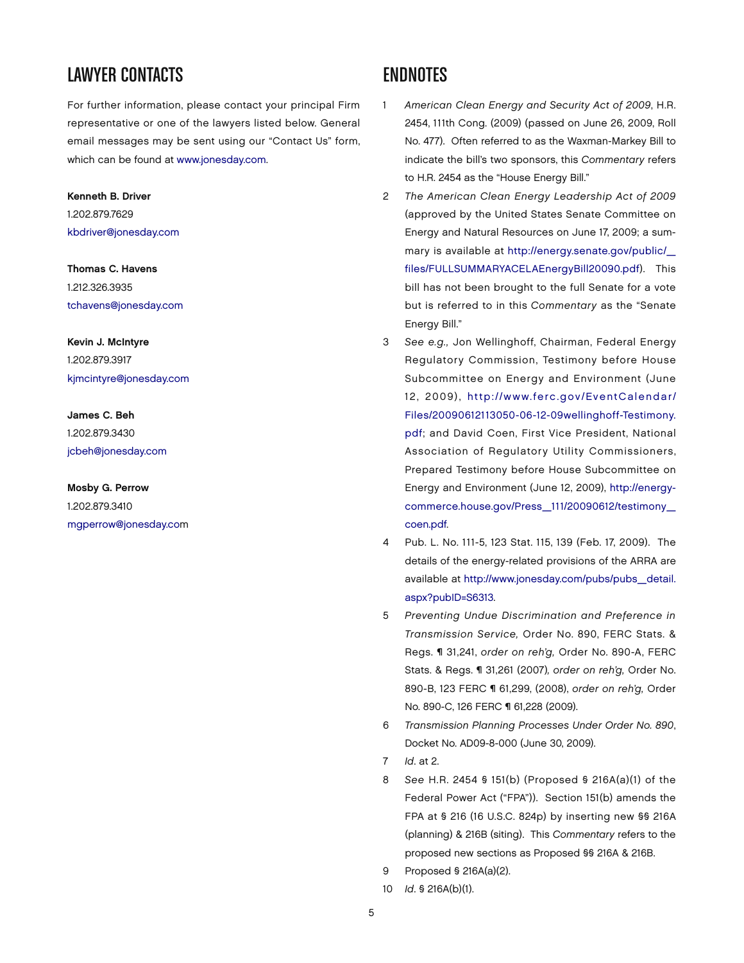### LAWYER CONTACTS

For further information, please contact your principal Firm representative or one of the lawyers listed below. General email messages may be sent using our "Contact Us" form, which can be found at [www.jonesday.com.](http://www.jonesday.com)

#### Kenneth B. Driver

1.202.879.7629 [kbdriver@jonesday.com](mailto:kbdriver@jonesday.com)

Thomas C. Havens 1.212.326.3935 [tchavens@jonesday.com](mailto:tchavens@jonesday.com)

Kevin J. McIntyre 1.202.879.3917 [kjmcintyre@jonesday.com](mailto:kjmcintyre@jonesday.com)

James C. Beh 1.202.879.3430 [jcbeh@jonesday.com](mailto:jcbeh@jonesday.com)

Mosby G. Perrow 1.202.879.3410 [mgperrow@jonesday.com](mailto:mgperrow@jonesday.com)

#### **ENDNOTES**

- 1 American Clean Energy and Security Act of 2009, H.R. 2454, 111th Cong. (2009) (passed on June 26, 2009, Roll No. 477). Often referred to as the Waxman-Markey Bill to indicate the bill's two sponsors, this Commentary refers to H.R. 2454 as the "House Energy Bill."
- 2 The American Clean Energy Leadership Act of 2009 (approved by the United States Senate Committee on Energy and Natural Resources on June 17, 2009; a summary is available at [http://energy.senate.gov/public/\\_](http://energy.senate.gov/public/_files/FULLSUMMARYACELAEnergyBill20090.pdf) files/FULL[SUMMARYACELAEnergyBill20090.pdf\).](http://energy.senate.gov/public/_files/FULLSUMMARYACELAEnergyBill20090.pdf) This bill has not been brought to the full Senate for a vote but is referred to in this Commentary as the "Senate Energy Bill."
- 3 See e.g., Jon Wellinghoff, Chairman, Federal Energy Regulatory Commission, Testimony before House Subcommittee on Energy and Environment (June 12, 2009), [http://www.ferc.gov/EventCalendar/](http://www.ferc.gov/EventCalendar/Files/20090612113050-06-12-09wellinghoff-Testimony.pdf) [Files/20090612113050-06-12-09wellinghoff-Testimony.](http://www.ferc.gov/EventCalendar/Files/20090612113050-06-12-09wellinghoff-Testimony.pdf) [pdf;](http://www.ferc.gov/EventCalendar/Files/20090612113050-06-12-09wellinghoff-Testimony.pdf) and David Coen, First Vice President, National Association of Regulatory Utility Commissioners, Prepared Testimony before House Subcommittee on Energy and Environment (June 12, 2009), [http://energy](http://energycommerce.house.gov/Press_111/20090612/testimony_coen.pdf)[commerce.house.gov/Press\\_111/20090612/testimony\\_](http://energycommerce.house.gov/Press_111/20090612/testimony_coen.pdf) [coen.pdf.](http://energycommerce.house.gov/Press_111/20090612/testimony_coen.pdf)
- 4 Pub. L. No. 111-5, 123 Stat. 115, 139 (Feb. 17, 2009). The details of the energy-related provisions of the ARRA are available at [http://www.jonesday.com/pubs/pubs\\_detail.](http://www.jonesday.com/pubs/pubs_detail.aspx?pubID=S6313) [aspx?pubID=S6313.](http://www.jonesday.com/pubs/pubs_detail.aspx?pubID=S6313)
- 5 Preventing Undue Discrimination and Preference in Transmission Service, Order No. 890, FERC Stats. & Regs. ¶ 31,241, order on reh'g, Order No. 890-A, FERC Stats. & Regs. ¶ 31,261 (2007), order on reh'g, Order No. 890-B, 123 FERC ¶ 61,299, (2008), order on reh'g, Order No. 890-C, 126 FERC ¶ 61,228 (2009).
- 6 Transmission Planning Processes Under Order No. 890, Docket No. AD09-8-000 (June 30, 2009).
- 7 Id. at 2.
- 8 See H.R. 2454 § 151(b) (Proposed § 216A(a)(1) of the Federal Power Act ("FPA")). Section 151(b) amends the FPA at § 216 (16 U.S.C. 824p) by inserting new §§ 216A (planning) & 216B (siting). This Commentary refers to the proposed new sections as Proposed §§ 216A & 216B.
- 9 Proposed § 216A(a)(2).
- 10 Id. § 216A(b)(1).